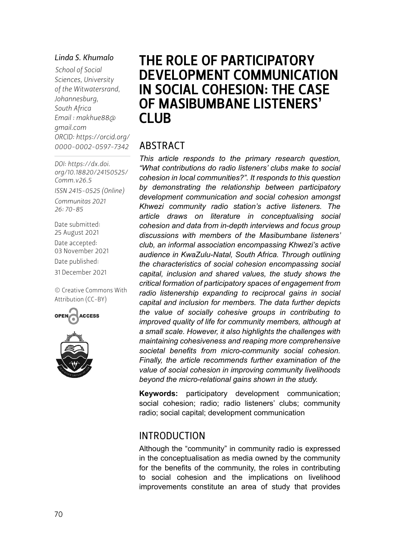#### *Linda S. Khumalo*

*School of Social Sciences, University of the Witwatersrand, Johannesburg, South Africa Email : [makhue88@](mailto:makhue88@gmail.com) [gmail.com](mailto:makhue88@gmail.com) ORCID: [https://orcid.org/](https://orcid.org/0000-0002-0597-7342) 0000-0002-0597-7342*

*DOI: [https://dx.doi.](https://dx.doi.org/10.18820/24150525/Comm.v26.5) [org/10.18820/24150525/](https://dx.doi.org/10.18820/24150525/Comm.v26.5) [Comm.v](https://dx.doi.org/10.18820/24150525/Comm.v26.5)26.5 ISSN 2415-0525 (Online) Communitas 2021 26: 70-85*

Date submitted: 25 August 2021 Date accepted: 03 November 2021 Date published: 31 December 2021

[© Creative Commons With](https://creativecommons.org/licenses/by/2.0/za/)  [Attribution \(CC-BY\)](https://creativecommons.org/licenses/by/2.0/za/)





# THE ROLE OF PARTICIPATORY DEVELOPMENT COMMUNICATION IN SOCIAL COHESION: THE CASE OF MASIBUMBANE LISTENERS' CLUB

#### ABSTRACT

*This article responds to the primary research question, "What contributions do radio listeners' clubs make to social cohesion in local communities?". It responds to this question by demonstrating the relationship between participatory development communication and social cohesion amongst Khwezi community radio station's active listeners. The article draws on literature in conceptualising social cohesion and data from in-depth interviews and focus group discussions with members of the Masibumbane listeners' club, an informal association encompassing Khwezi's active audience in KwaZulu-Natal, South Africa. Through outlining the characteristics of social cohesion encompassing social capital, inclusion and shared values, the study shows the critical formation of participatory spaces of engagement from radio listenership expanding to reciprocal gains in social capital and inclusion for members. The data further depicts the value of socially cohesive groups in contributing to improved quality of life for community members, although at a small scale. However, it also highlights the challenges with maintaining cohesiveness and reaping more comprehensive societal benefits from micro-community social cohesion. Finally, the article recommends further examination of the value of social cohesion in improving community livelihoods beyond the micro-relational gains shown in the study.*

**Keywords:** participatory development communication; social cohesion; radio; radio listeners' clubs; community radio; social capital; development communication

#### INTRODUCTION

Although the "community" in community radio is expressed in the conceptualisation as media owned by the community for the benefits of the community, the roles in contributing to social cohesion and the implications on livelihood improvements constitute an area of study that provides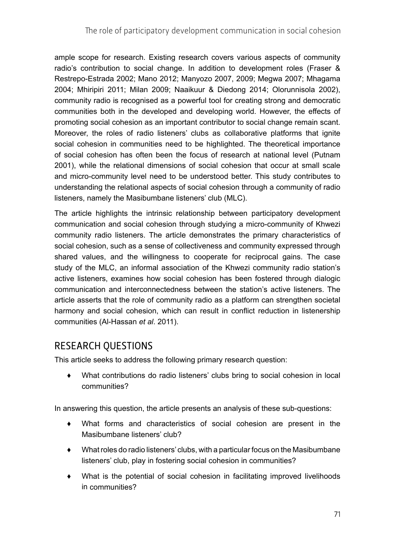ample scope for research. Existing research covers various aspects of community radio's contribution to social change. In addition to development roles (Fraser & Restrepo-Estrada 2002; Mano 2012; Manyozo 2007, 2009; Megwa 2007; Mhagama 2004; Mhiripiri 2011; Milan 2009; Naaikuur & Diedong 2014; Olorunnisola 2002), community radio is recognised as a powerful tool for creating strong and democratic communities both in the developed and developing world. However, the effects of promoting social cohesion as an important contributor to social change remain scant. Moreover, the roles of radio listeners' clubs as collaborative platforms that ignite social cohesion in communities need to be highlighted. The theoretical importance of social cohesion has often been the focus of research at national level (Putnam 2001), while the relational dimensions of social cohesion that occur at small scale and micro-community level need to be understood better. This study contributes to understanding the relational aspects of social cohesion through a community of radio listeners, namely the Masibumbane listeners' club (MLC).

The article highlights the intrinsic relationship between participatory development communication and social cohesion through studying a micro-community of Khwezi community radio listeners. The article demonstrates the primary characteristics of social cohesion, such as a sense of collectiveness and community expressed through shared values, and the willingness to cooperate for reciprocal gains. The case study of the MLC, an informal association of the Khwezi community radio station's active listeners, examines how social cohesion has been fostered through dialogic communication and interconnectedness between the station's active listeners. The article asserts that the role of community radio as a platform can strengthen societal harmony and social cohesion, which can result in conflict reduction in listenership communities (Al-Hassan *et al*. 2011).

#### RESEARCH QUESTIONS

This article seeks to address the following primary research question:

♦ What contributions do radio listeners' clubs bring to social cohesion in local communities?

In answering this question, the article presents an analysis of these sub-questions:

- ♦ What forms and characteristics of social cohesion are present in the Masibumbane listeners' club?
- ♦ What roles do radio listeners' clubs, with a particular focus on the Masibumbane listeners' club, play in fostering social cohesion in communities?
- ♦ What is the potential of social cohesion in facilitating improved livelihoods in communities?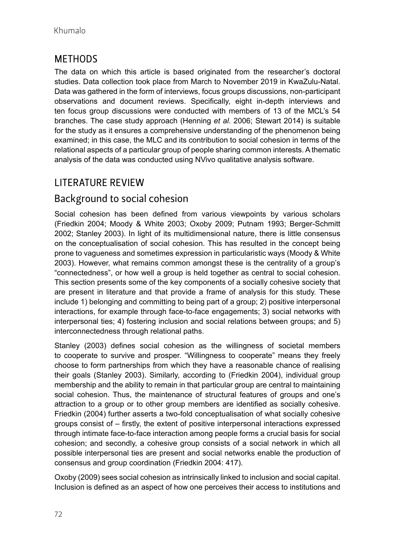#### **METHODS**

The data on which this article is based originated from the researcher's doctoral studies. Data collection took place from March to November 2019 in KwaZulu-Natal. Data was gathered in the form of interviews, focus groups discussions, non-participant observations and document reviews. Specifically, eight in-depth interviews and ten focus group discussions were conducted with members of 13 of the MCL's 54 branches. The case study approach (Henning *et al*. 2006; Stewart 2014) is suitable for the study as it ensures a comprehensive understanding of the phenomenon being examined; in this case, the MLC and its contribution to social cohesion in terms of the relational aspects of a particular group of people sharing common interests. A thematic analysis of the data was conducted using NVivo qualitative analysis software.

#### LITERATURE REVIEW

#### Background to social cohesion

Social cohesion has been defined from various viewpoints by various scholars (Friedkin 2004; Moody & White 2003; Oxoby 2009; Putnam 1993; Berger-Schmitt 2002; Stanley 2003). In light of its multidimensional nature, there is little consensus on the conceptualisation of social cohesion. This has resulted in the concept being prone to vagueness and sometimes expression in particularistic ways (Moody & White 2003). However, what remains common amongst these is the centrality of a group's "connectedness", or how well a group is held together as central to social cohesion. This section presents some of the key components of a socially cohesive society that are present in literature and that provide a frame of analysis for this study. These include 1) belonging and committing to being part of a group; 2) positive interpersonal interactions, for example through face-to-face engagements; 3) social networks with interpersonal ties; 4) fostering inclusion and social relations between groups; and 5) interconnectedness through relational paths.

Stanley (2003) defines social cohesion as the willingness of societal members to cooperate to survive and prosper. "Willingness to cooperate" means they freely choose to form partnerships from which they have a reasonable chance of realising their goals (Stanley 2003). Similarly, according to (Friedkin 2004), individual group membership and the ability to remain in that particular group are central to maintaining social cohesion. Thus, the maintenance of structural features of groups and one's attraction to a group or to other group members are identified as socially cohesive. Friedkin (2004) further asserts a two-fold conceptualisation of what socially cohesive groups consist of – firstly, the extent of positive interpersonal interactions expressed through intimate face-to-face interaction among people forms a crucial basis for social cohesion; and secondly, a cohesive group consists of a social network in which all possible interpersonal ties are present and social networks enable the production of consensus and group coordination (Friedkin 2004: 417).

Oxoby (2009) sees social cohesion as intrinsically linked to inclusion and social capital. Inclusion is defined as an aspect of how one perceives their access to institutions and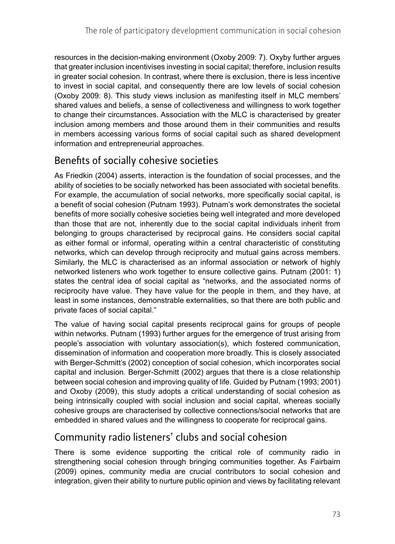resources in the decision-making environment (Oxoby 2009: 7). Oxyby further argues that greater inclusion incentivises investing in social capital; therefore, inclusion results in greater social cohesion. In contrast, where there is exclusion, there is less incentive to invest in social capital, and consequently there are low levels of social cohesion (Oxoby 2009: 8). This study views inclusion as manifesting itself in MLC members' shared values and beliefs, a sense of collectiveness and willingness to work together to change their circumstances. Association with the MLC is characterised by greater inclusion among members and those around them in their communities and results in members accessing various forms of social capital such as shared development information and entrepreneurial approaches.

# Benefits of socially cohesive societies

As Friedkin (2004) asserts, interaction is the foundation of social processes, and the ability of societies to be socially networked has been associated with societal benefits. For example, the accumulation of social networks, more specifically social capital, is a benefit of social cohesion (Putnam 1993). Putnam's work demonstrates the societal benefits of more socially cohesive societies being well integrated and more developed than those that are not, inherently due to the social capital individuals inherit from belonging to groups characterised by reciprocal gains. He considers social capital as either formal or informal, operating within a central characteristic of constituting networks, which can develop through reciprocity and mutual gains across members. Similarly, the MLC is characterised as an informal association or network of highly networked listeners who work together to ensure collective gains. Putnam (2001: 1) states the central idea of social capital as "networks, and the associated norms of reciprocity have value. They have value for the people in them, and they have, at least in some instances, demonstrable externalities, so that there are both public and private faces of social capital."

The value of having social capital presents reciprocal gains for groups of people within networks. Putnam (1993) further argues for the emergence of trust arising from people's association with voluntary association(s), which fostered communication, dissemination of information and cooperation more broadly. This is closely associated with Berger-Schmitt's (2002) conception of social cohesion, which incorporates social capital and inclusion. Berger-Schmitt (2002) argues that there is a close relationship between social cohesion and improving quality of life. Guided by Putnam (1993; 2001) and Oxoby (2009), this study adopts a critical understanding of social cohesion as being intrinsically coupled with social inclusion and social capital, whereas socially cohesive groups are characterised by collective connections/social networks that are embedded in shared values and the willingness to cooperate for reciprocal gains.

# Community radio listeners' clubs and social cohesion

There is some evidence supporting the critical role of community radio in strengthening social cohesion through bringing communities together. As Fairbairn (2009) opines, community media are crucial contributors to social cohesion and integration, given their ability to nurture public opinion and views by facilitating relevant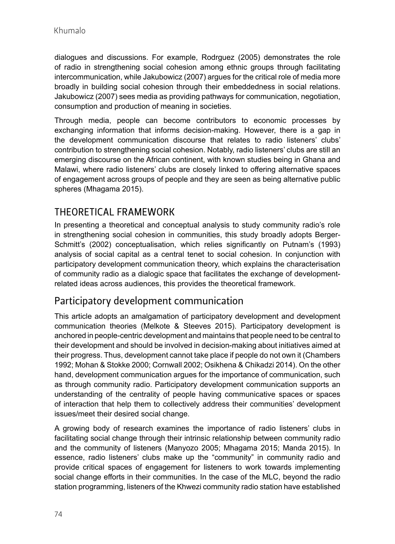dialogues and discussions. For example, Rodrguez (2005) demonstrates the role of radio in strengthening social cohesion among ethnic groups through facilitating intercommunication, while Jakubowicz (2007) argues for the critical role of media more broadly in building social cohesion through their embeddedness in social relations. Jakubowicz (2007) sees media as providing pathways for communication, negotiation, consumption and production of meaning in societies.

Through media, people can become contributors to economic processes by exchanging information that informs decision-making. However, there is a gap in the development communication discourse that relates to radio listeners' clubs' contribution to strengthening social cohesion. Notably, radio listeners' clubs are still an emerging discourse on the African continent, with known studies being in Ghana and Malawi, where radio listeners' clubs are closely linked to offering alternative spaces of engagement across groups of people and they are seen as being alternative public spheres (Mhagama 2015).

#### THEORETICAL FRAMEWORK

In presenting a theoretical and conceptual analysis to study community radio's role in strengthening social cohesion in communities, this study broadly adopts Berger-Schmitt's (2002) conceptualisation, which relies significantly on Putnam's (1993) analysis of social capital as a central tenet to social cohesion. In conjunction with participatory development communication theory, which explains the characterisation of community radio as a dialogic space that facilitates the exchange of developmentrelated ideas across audiences, this provides the theoretical framework.

#### Participatory development communication

This article adopts an amalgamation of participatory development and development communication theories (Melkote & Steeves 2015). Participatory development is anchored in people-centric development and maintains that people need to be central to their development and should be involved in decision-making about initiatives aimed at their progress. Thus, development cannot take place if people do not own it (Chambers 1992; Mohan & Stokke 2000; Cornwall 2002; Osikhena & Chikadzi 2014). On the other hand, development communication argues for the importance of communication, such as through community radio. Participatory development communication supports an understanding of the centrality of people having communicative spaces or spaces of interaction that help them to collectively address their communities' development issues/meet their desired social change.

A growing body of research examines the importance of radio listeners' clubs in facilitating social change through their intrinsic relationship between community radio and the community of listeners (Manyozo 2005; Mhagama 2015; Manda 2015). In essence, radio listeners' clubs make up the "community" in community radio and provide critical spaces of engagement for listeners to work towards implementing social change efforts in their communities. In the case of the MLC, beyond the radio station programming, listeners of the Khwezi community radio station have established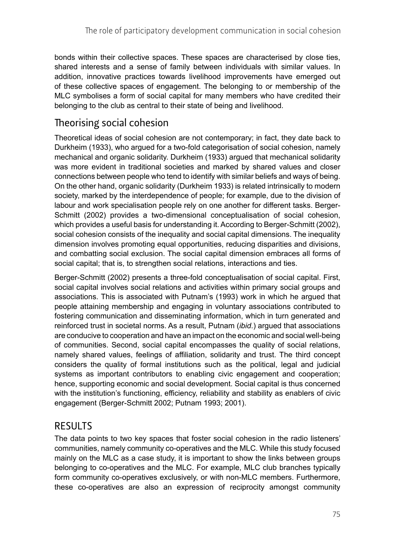bonds within their collective spaces. These spaces are characterised by close ties, shared interests and a sense of family between individuals with similar values. In addition, innovative practices towards livelihood improvements have emerged out of these collective spaces of engagement. The belonging to or membership of the MLC symbolises a form of social capital for many members who have credited their belonging to the club as central to their state of being and livelihood.

### Theorising social cohesion

Theoretical ideas of social cohesion are not contemporary; in fact, they date back to Durkheim (1933), who argued for a two-fold categorisation of social cohesion, namely mechanical and organic solidarity. Durkheim (1933) argued that mechanical solidarity was more evident in traditional societies and marked by shared values and closer connections between people who tend to identify with similar beliefs and ways of being. On the other hand, organic solidarity (Durkheim 1933) is related intrinsically to modern society, marked by the interdependence of people; for example, due to the division of labour and work specialisation people rely on one another for different tasks. Berger-Schmitt (2002) provides a two-dimensional conceptualisation of social cohesion, which provides a useful basis for understanding it. According to Berger-Schmitt (2002), social cohesion consists of the inequality and social capital dimensions. The inequality dimension involves promoting equal opportunities, reducing disparities and divisions, and combatting social exclusion. The social capital dimension embraces all forms of social capital; that is, to strengthen social relations, interactions and ties.

Berger-Schmitt (2002) presents a three-fold conceptualisation of social capital. First, social capital involves social relations and activities within primary social groups and associations. This is associated with Putnam's (1993) work in which he argued that people attaining membership and engaging in voluntary associations contributed to fostering communication and disseminating information, which in turn generated and reinforced trust in societal norms. As a result, Putnam (*ibid*.) argued that associations are conducive to cooperation and have an impact on the economic and social well-being of communities. Second, social capital encompasses the quality of social relations, namely shared values, feelings of affiliation, solidarity and trust. The third concept considers the quality of formal institutions such as the political, legal and judicial systems as important contributors to enabling civic engagement and cooperation; hence, supporting economic and social development. Social capital is thus concerned with the institution's functioning, efficiency, reliability and stability as enablers of civic engagement (Berger-Schmitt 2002; Putnam 1993; 2001).

#### RESULTS

The data points to two key spaces that foster social cohesion in the radio listeners' communities, namely community co-operatives and the MLC. While this study focused mainly on the MLC as a case study, it is important to show the links between groups belonging to co-operatives and the MLC. For example, MLC club branches typically form community co-operatives exclusively, or with non-MLC members. Furthermore, these co-operatives are also an expression of reciprocity amongst community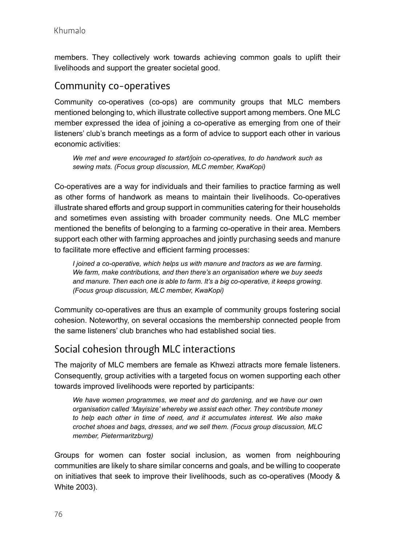members. They collectively work towards achieving common goals to uplift their livelihoods and support the greater societal good.

#### Community co-operatives

Community co-operatives (co-ops) are community groups that MLC members mentioned belonging to, which illustrate collective support among members. One MLC member expressed the idea of joining a co-operative as emerging from one of their listeners' club's branch meetings as a form of advice to support each other in various economic activities:

*We met and were encouraged to start/join co-operatives, to do handwork such as sewing mats. (Focus group discussion, MLC member, KwaKopi)*

Co-operatives are a way for individuals and their families to practice farming as well as other forms of handwork as means to maintain their livelihoods. Co-operatives illustrate shared efforts and group support in communities catering for their households and sometimes even assisting with broader community needs. One MLC member mentioned the benefits of belonging to a farming co-operative in their area. Members support each other with farming approaches and jointly purchasing seeds and manure to facilitate more effective and efficient farming processes:

*I joined a co-operative, which helps us with manure and tractors as we are farming. We farm, make contributions, and then there's an organisation where we buy seeds and manure. Then each one is able to farm. It's a big co-operative, it keeps growing. (Focus group discussion, MLC member, KwaKopi)*

Community co-operatives are thus an example of community groups fostering social cohesion. Noteworthy, on several occasions the membership connected people from the same listeners' club branches who had established social ties.

#### Social cohesion through MLC interactions

The majority of MLC members are female as Khwezi attracts more female listeners. Consequently, group activities with a targeted focus on women supporting each other towards improved livelihoods were reported by participants:

*We have women programmes, we meet and do gardening, and we have our own organisation called 'Mayisize' whereby we assist each other. They contribute money to help each other in time of need, and it accumulates interest. We also make crochet shoes and bags, dresses, and we sell them. (Focus group discussion, MLC member, Pietermaritzburg)*

Groups for women can foster social inclusion, as women from neighbouring communities are likely to share similar concerns and goals, and be willing to cooperate on initiatives that seek to improve their livelihoods, such as co-operatives (Moody & White 2003).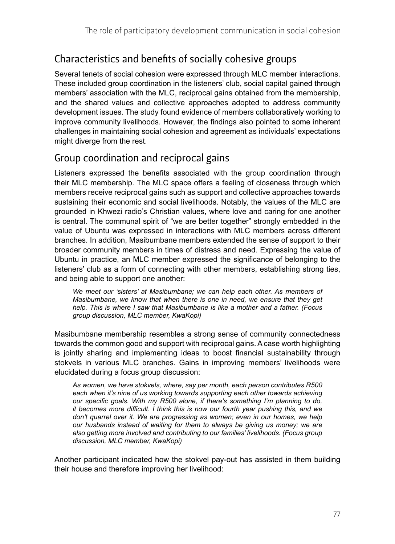# Characteristics and benefits of socially cohesive groups

Several tenets of social cohesion were expressed through MLC member interactions. These included group coordination in the listeners' club, social capital gained through members' association with the MLC, reciprocal gains obtained from the membership, and the shared values and collective approaches adopted to address community development issues. The study found evidence of members collaboratively working to improve community livelihoods. However, the findings also pointed to some inherent challenges in maintaining social cohesion and agreement as individuals' expectations might diverge from the rest.

# Group coordination and reciprocal gains

Listeners expressed the benefits associated with the group coordination through their MLC membership. The MLC space offers a feeling of closeness through which members receive reciprocal gains such as support and collective approaches towards sustaining their economic and social livelihoods. Notably, the values of the MLC are grounded in Khwezi radio's Christian values, where love and caring for one another is central. The communal spirit of "we are better together" strongly embedded in the value of Ubuntu was expressed in interactions with MLC members across different branches. In addition, Masibumbane members extended the sense of support to their broader community members in times of distress and need. Expressing the value of Ubuntu in practice, an MLC member expressed the significance of belonging to the listeners' club as a form of connecting with other members, establishing strong ties, and being able to support one another:

*We meet our 'sisters' at Masibumbane; we can help each other. As members of Masibumbane, we know that when there is one in need, we ensure that they get help. This is where I saw that Masibumbane is like a mother and a father. (Focus group discussion, MLC member, KwaKopi)*

Masibumbane membership resembles a strong sense of community connectedness towards the common good and support with reciprocal gains. A case worth highlighting is jointly sharing and implementing ideas to boost financial sustainability through stokvels in various MLC branches. Gains in improving members' livelihoods were elucidated during a focus group discussion:

*As women, we have stokvels, where, say per month, each person contributes R500 each when it's nine of us working towards supporting each other towards achieving our specific goals. With my R500 alone, if there's something I'm planning to do, it becomes more difficult. I think this is now our fourth year pushing this, and we don't quarrel over it. We are progressing as women; even in our homes, we help our husbands instead of waiting for them to always be giving us money; we are also getting more involved and contributing to our families' livelihoods. (Focus group discussion, MLC member, KwaKopi)*

Another participant indicated how the stokvel pay-out has assisted in them building their house and therefore improving her livelihood: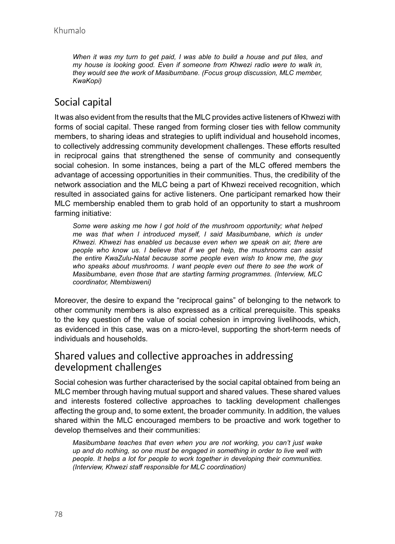*When it was my turn to get paid, I was able to build a house and put tiles, and my house is looking good. Even if someone from Khwezi radio were to walk in, they would see the work of Masibumbane. (Focus group discussion, MLC member, KwaKopi)*

# Social capital

It was also evident from the results that the MLC provides active listeners of Khwezi with forms of social capital. These ranged from forming closer ties with fellow community members, to sharing ideas and strategies to uplift individual and household incomes, to collectively addressing community development challenges. These efforts resulted in reciprocal gains that strengthened the sense of community and consequently social cohesion. In some instances, being a part of the MLC offered members the advantage of accessing opportunities in their communities. Thus, the credibility of the network association and the MLC being a part of Khwezi received recognition, which resulted in associated gains for active listeners. One participant remarked how their MLC membership enabled them to grab hold of an opportunity to start a mushroom farming initiative:

*Some were asking me how I got hold of the mushroom opportunity; what helped me was that when I introduced myself, I said Masibumbane, which is under Khwezi. Khwezi has enabled us because even when we speak on air, there are people who know us. I believe that if we get help, the mushrooms can assist the entire KwaZulu-Natal because some people even wish to know me, the guy*  who speaks about mushrooms. I want people even out there to see the work of *Masibumbane, even those that are starting farming programmes. (Interview, MLC coordinator, Ntembisweni)* 

Moreover, the desire to expand the "reciprocal gains" of belonging to the network to other community members is also expressed as a critical prerequisite. This speaks to the key question of the value of social cohesion in improving livelihoods, which, as evidenced in this case, was on a micro-level, supporting the short-term needs of individuals and households.

#### Shared values and collective approaches in addressing development challenges

Social cohesion was further characterised by the social capital obtained from being an MLC member through having mutual support and shared values. These shared values and interests fostered collective approaches to tackling development challenges affecting the group and, to some extent, the broader community. In addition, the values shared within the MLC encouraged members to be proactive and work together to develop themselves and their communities:

*Masibumbane teaches that even when you are not working, you can't just wake up and do nothing, so one must be engaged in something in order to live well with people. It helps a lot for people to work together in developing their communities. (Interview, Khwezi staff responsible for MLC coordination)*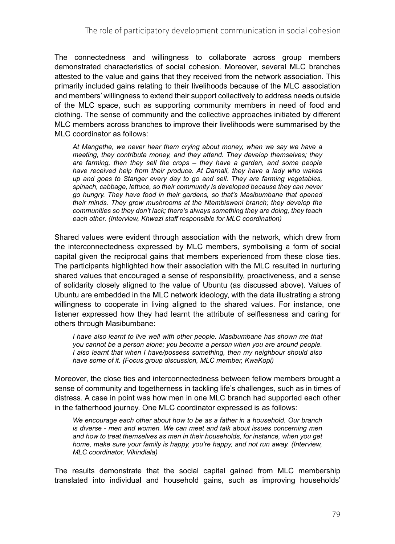The connectedness and willingness to collaborate across group members demonstrated characteristics of social cohesion. Moreover, several MLC branches attested to the value and gains that they received from the network association. This primarily included gains relating to their livelihoods because of the MLC association and members' willingness to extend their support collectively to address needs outside of the MLC space, such as supporting community members in need of food and clothing. The sense of community and the collective approaches initiated by different MLC members across branches to improve their livelihoods were summarised by the MLC coordinator as follows:

*At Mangethe, we never hear them crying about money, when we say we have a meeting, they contribute money, and they attend. They develop themselves; they are farming, then they sell the crops – they have a garden, and some people have received help from their produce. At Darnall, they have a lady who wakes up and goes to Stanger every day to go and sell. They are farming vegetables, spinach, cabbage, lettuce, so their community is developed because they can never go hungry. They have food in their gardens, so that's Masibumbane that opened their minds. They grow mushrooms at the Ntembisweni branch; they develop the communities so they don't lack; there's always something they are doing, they teach each other. (Interview, Khwezi staff responsible for MLC coordination)*

Shared values were evident through association with the network, which drew from the interconnectedness expressed by MLC members, symbolising a form of social capital given the reciprocal gains that members experienced from these close ties. The participants highlighted how their association with the MLC resulted in nurturing shared values that encouraged a sense of responsibility, proactiveness, and a sense of solidarity closely aligned to the value of Ubuntu (as discussed above). Values of Ubuntu are embedded in the MLC network ideology, with the data illustrating a strong willingness to cooperate in living aligned to the shared values. For instance, one listener expressed how they had learnt the attribute of selflessness and caring for others through Masibumbane:

*I have also learnt to live well with other people. Masibumbane has shown me that you cannot be a person alone; you become a person when you are around people. I also learnt that when I have/possess something, then my neighbour should also have some of it. (Focus group discussion, MLC member, KwaKopi)*

Moreover, the close ties and interconnectedness between fellow members brought a sense of community and togetherness in tackling life's challenges, such as in times of distress. A case in point was how men in one MLC branch had supported each other in the fatherhood journey. One MLC coordinator expressed is as follows:

*We encourage each other about how to be as a father in a household. Our branch is diverse - men and women. We can meet and talk about issues concerning men and how to treat themselves as men in their households, for instance, when you get home, make sure your family is happy, you're happy, and not run away. (Interview, MLC coordinator, Vikindlala)*

The results demonstrate that the social capital gained from MLC membership translated into individual and household gains, such as improving households'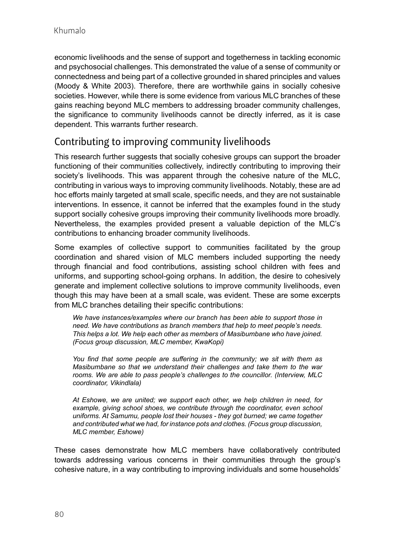economic livelihoods and the sense of support and togetherness in tackling economic and psychosocial challenges. This demonstrated the value of a sense of community or connectedness and being part of a collective grounded in shared principles and values (Moody & White 2003). Therefore, there are worthwhile gains in socially cohesive societies. However, while there is some evidence from various MLC branches of these gains reaching beyond MLC members to addressing broader community challenges, the significance to community livelihoods cannot be directly inferred, as it is case dependent. This warrants further research.

# Contributing to improving community livelihoods

This research further suggests that socially cohesive groups can support the broader functioning of their communities collectively, indirectly contributing to improving their society's livelihoods. This was apparent through the cohesive nature of the MLC, contributing in various ways to improving community livelihoods. Notably, these are ad hoc efforts mainly targeted at small scale, specific needs, and they are not sustainable interventions. In essence, it cannot be inferred that the examples found in the study support socially cohesive groups improving their community livelihoods more broadly. Nevertheless, the examples provided present a valuable depiction of the MLC's contributions to enhancing broader community livelihoods.

Some examples of collective support to communities facilitated by the group coordination and shared vision of MLC members included supporting the needy through financial and food contributions, assisting school children with fees and uniforms, and supporting school-going orphans. In addition, the desire to cohesively generate and implement collective solutions to improve community livelihoods, even though this may have been at a small scale, was evident. These are some excerpts from MLC branches detailing their specific contributions:

*We have instances/examples where our branch has been able to support those in need. We have contributions as branch members that help to meet people's needs. This helps a lot. We help each other as members of Masibumbane who have joined. (Focus group discussion, MLC member, KwaKopi)*

*You find that some people are suffering in the community; we sit with them as Masibumbane so that we understand their challenges and take them to the war rooms. We are able to pass people's challenges to the councillor. (Interview, MLC coordinator, Vikindlala)*

*At Eshowe, we are united; we support each other, we help children in need, for example, giving school shoes, we contribute through the coordinator, even school uniforms. At Samumu, people lost their houses - they got burned; we came together and contributed what we had, for instance pots and clothes. (Focus group discussion, MLC member, Eshowe)*

These cases demonstrate how MLC members have collaboratively contributed towards addressing various concerns in their communities through the group's cohesive nature, in a way contributing to improving individuals and some households'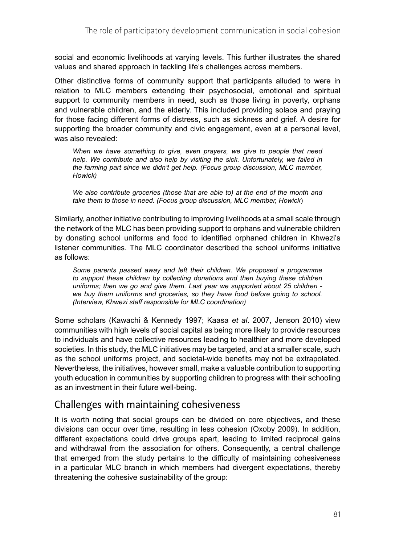social and economic livelihoods at varying levels. This further illustrates the shared values and shared approach in tackling life's challenges across members.

Other distinctive forms of community support that participants alluded to were in relation to MLC members extending their psychosocial, emotional and spiritual support to community members in need, such as those living in poverty, orphans and vulnerable children, and the elderly. This included providing solace and praying for those facing different forms of distress, such as sickness and grief. A desire for supporting the broader community and civic engagement, even at a personal level, was also revealed:

*When we have something to give, even prayers, we give to people that need help. We contribute and also help by visiting the sick. Unfortunately, we failed in the farming part since we didn't get help. (Focus group discussion, MLC member, Howick)*

*We also contribute groceries (those that are able to) at the end of the month and take them to those in need. (Focus group discussion, MLC member, Howick*)

Similarly, another initiative contributing to improving livelihoods at a small scale through the network of the MLC has been providing support to orphans and vulnerable children by donating school uniforms and food to identified orphaned children in Khwezi's listener communities. The MLC coordinator described the school uniforms initiative as follows:

*Some parents passed away and left their children. We proposed a programme*  to support these children by collecting donations and then buying these children *uniforms; then we go and give them. Last year we supported about 25 children we buy them uniforms and groceries, so they have food before going to school. (Interview, Khwezi staff responsible for MLC coordination)*

Some scholars (Kawachi & Kennedy 1997; Kaasa *et al*. 2007, Jenson 2010) view communities with high levels of social capital as being more likely to provide resources to individuals and have collective resources leading to healthier and more developed societies. In this study, the MLC initiatives may be targeted, and at a smaller scale, such as the school uniforms project, and societal-wide benefits may not be extrapolated. Nevertheless, the initiatives, however small, make a valuable contribution to supporting youth education in communities by supporting children to progress with their schooling as an investment in their future well-being.

# Challenges with maintaining cohesiveness

It is worth noting that social groups can be divided on core objectives, and these divisions can occur over time, resulting in less cohesion (Oxoby 2009). In addition, different expectations could drive groups apart, leading to limited reciprocal gains and withdrawal from the association for others. Consequently, a central challenge that emerged from the study pertains to the difficulty of maintaining cohesiveness in a particular MLC branch in which members had divergent expectations, thereby threatening the cohesive sustainability of the group: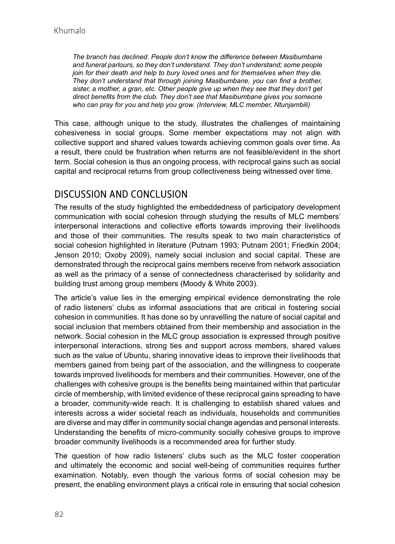*The branch has declined. People don't know the difference between Masibumbane and funeral parlours, so they don't understand. They don't understand; some people join for their death and help to bury loved ones and for themselves when they die. They don't understand that through joining Masibumbane, you can find a brother, sister, a mother, a gran, etc. Other people give up when they see that they don't get direct benefits from the club. They don't see that Masibumbane gives you someone who can pray for you and help you grow. (Interview, MLC member, Ntunjambili)* 

This case, although unique to the study, illustrates the challenges of maintaining cohesiveness in social groups. Some member expectations may not align with collective support and shared values towards achieving common goals over time. As a result, there could be frustration when returns are not feasible/evident in the short term. Social cohesion is thus an ongoing process, with reciprocal gains such as social capital and reciprocal returns from group collectiveness being witnessed over time.

#### DISCUSSION AND CONCLUSION

The results of the study highlighted the embeddedness of participatory development communication with social cohesion through studying the results of MLC members' interpersonal interactions and collective efforts towards improving their livelihoods and those of their communities. The results speak to two main characteristics of social cohesion highlighted in literature (Putnam 1993; Putnam 2001; Friedkin 2004; Jenson 2010; Oxoby 2009), namely social inclusion and social capital. These are demonstrated through the reciprocal gains members receive from network association as well as the primacy of a sense of connectedness characterised by solidarity and building trust among group members (Moody & White 2003).

The article's value lies in the emerging empirical evidence demonstrating the role of radio listeners' clubs as informal associations that are critical in fostering social cohesion in communities. It has done so by unravelling the nature of social capital and social inclusion that members obtained from their membership and association in the network. Social cohesion in the MLC group association is expressed through positive interpersonal interactions, strong ties and support across members, shared values such as the value of Ubuntu, sharing innovative ideas to improve their livelihoods that members gained from being part of the association, and the willingness to cooperate towards improved livelihoods for members and their communities. However, one of the challenges with cohesive groups is the benefits being maintained within that particular circle of membership, with limited evidence of these reciprocal gains spreading to have a broader, community-wide reach. It is challenging to establish shared values and interests across a wider societal reach as individuals, households and communities are diverse and may differ in community social change agendas and personal interests. Understanding the benefits of micro-community socially cohesive groups to improve broader community livelihoods is a recommended area for further study.

The question of how radio listeners' clubs such as the MLC foster cooperation and ultimately the economic and social well-being of communities requires further examination. Notably, even though the various forms of social cohesion may be present, the enabling environment plays a critical role in ensuring that social cohesion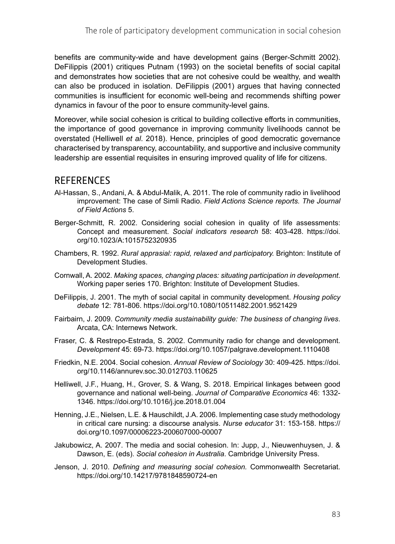benefits are community-wide and have development gains (Berger-Schmitt 2002). DeFilippis (2001) critiques Putnam (1993) on the societal benefits of social capital and demonstrates how societies that are not cohesive could be wealthy, and wealth can also be produced in isolation. DeFilippis (2001) argues that having connected communities is insufficient for economic well-being and recommends shifting power dynamics in favour of the poor to ensure community-level gains.

Moreover, while social cohesion is critical to building collective efforts in communities, the importance of good governance in improving community livelihoods cannot be overstated (Helliwell *et al*. 2018). Hence, principles of good democratic governance characterised by transparency, accountability, and supportive and inclusive community leadership are essential requisites in ensuring improved quality of life for citizens.

#### **RFFERENCES**

- Al-Hassan, S., Andani, A. & Abdul-Malik, A. 2011. The role of community radio in livelihood improvement: The case of Simli Radio. *Field Actions Science reports. The Journal of Field Actions* 5.
- Berger-Schmitt, R. 2002. Considering social cohesion in quality of life assessments: Concept and measurement. *Social indicators research* 58: 403-428. [https://doi.](https://doi.org/10.1023/A:1015752320935) [org/10.1023/A:1015752320935](https://doi.org/10.1023/A:1015752320935)
- Chambers, R. 1992. *Rural apprasial: rapid, relaxed and participatory.* Brighton: Institute of Development Studies.
- Cornwall, A. 2002. *Making spaces, changing places: situating participation in development*. Working paper series 170. Brighton: Institute of Development Studies.
- DeFilippis, J. 2001. The myth of social capital in community development. *Housing policy debate* 12: 781-806.<https://doi.org/10.1080/10511482.2001.9521429>
- Fairbairn, J. 2009. *Community media sustainability guide: The business of changing lives*. Arcata, CA: Internews Network.
- Fraser, C. & Restrepo-Estrada, S. 2002. Community radio for change and development. *Development* 45: 69-73. <https://doi.org/10.1057/palgrave.development.1110408>
- Friedkin, N.E. 2004. Social cohesion. *Annual Review of Sociology* 30: 409-425. [https://doi.](https://doi.org/10.1146/annurev.soc.30.012703.110625) [org/10.1146/annurev.soc.30.012703.110625](https://doi.org/10.1146/annurev.soc.30.012703.110625)
- Helliwell, J.F., Huang, H., Grover, S. & Wang, S. 2018. Empirical linkages between good governance and national well-being. *Journal of Comparative Economics* 46: 1332- 1346.<https://doi.org/10.1016/j.jce.2018.01.004>
- Henning, J.E., Nielsen, L.E. & Hauschildt, J.A. 2006. Implementing case study methodology in critical care nursing: a discourse analysis. *Nurse educator* 31: 153-158. [https://](https://doi.org/10.1097/00006223-200607000-00007) [doi.org/10.1097/00006223-200607000-00007](https://doi.org/10.1097/00006223-200607000-00007)
- Jakubowicz, A. 2007. The media and social cohesion. In: Jupp, J., Nieuwenhuysen, J. & Dawson, E. (eds). *Social cohesion in Australia*. Cambridge University Press.
- Jenson, J. 2010. *Defining and measuring social cohesion.* Commonwealth Secretariat. <https://doi.org/10.14217/9781848590724-en>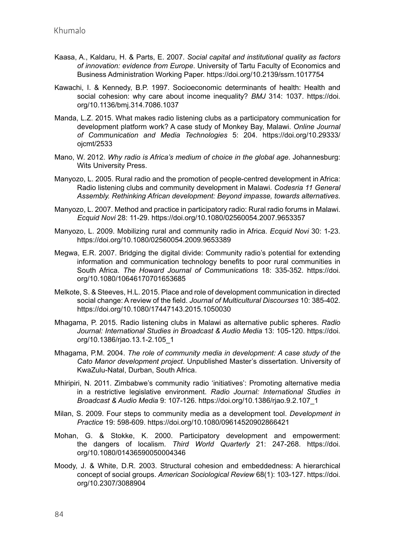- Kaasa, A., Kaldaru, H. & Parts, E. 2007. *Social capital and institutional quality as factors of innovation: evidence from Europe*. University of Tartu Faculty of Economics and Business Administration Working Paper.<https://doi.org/10.2139/ssrn.1017754>
- Kawachi, I. & Kennedy, B.P. 1997. Socioeconomic determinants of health: Health and social cohesion: why care about income inequality? *BMJ* 314: 1037. [https://doi.](https://doi.org/10.1136/bmj.314.7086.1037) [org/10.1136/bmj.314.7086.1037](https://doi.org/10.1136/bmj.314.7086.1037)
- Manda, L.Z. 2015. What makes radio listening clubs as a participatory communication for development platform work? A case study of Monkey Bay, Malawi. *Online Journal of Communication and Media Technologies* 5: 204. [https://doi.org/10.29333/](https://doi.org/10.29333/ojcmt/2533) [ojcmt/2533](https://doi.org/10.29333/ojcmt/2533)
- Mano, W. 2012. *Why radio is Africa's medium of choice in the global age*. Johannesburg: Wits University Press.
- Manyozo, L. 2005. Rural radio and the promotion of people-centred development in Africa: Radio listening clubs and community development in Malawi. *Codesria 11 General Assembly. Rethinking African development: Beyond impasse, towards alternatives*.
- Manyozo, L. 2007. Method and practice in participatory radio: Rural radio forums in Malawi. *Ecquid Novi* 28: 11-29.<https://doi.org/10.1080/02560054.2007.9653357>
- Manyozo, L. 2009. Mobilizing rural and community radio in Africa. *Ecquid Novi* 30: 1-23. <https://doi.org/10.1080/02560054.2009.9653389>
- Megwa, E.R. 2007. Bridging the digital divide: Community radio's potential for extending information and communication technology benefits to poor rural communities in South Africa. *The Howard Journal of Communications* 18: 335-352. [https://doi.](https://doi.org/10.1080/10646170701653685) [org/10.1080/10646170701653685](https://doi.org/10.1080/10646170701653685)
- Melkote, S. & Steeves, H.L. 2015. Place and role of development communication in directed social change: A review of the field. *Journal of Multicultural Discourses* 10: 385-402. <https://doi.org/10.1080/17447143.2015.1050030>
- Mhagama, P. 2015. Radio listening clubs in Malawi as alternative public spheres. *Radio Journal: International Studies in Broadcast & Audio Media* 13: 105-120. [https://doi.](https://doi.org/10.1386/rjao.13.1-2.105_1) [org/10.1386/rjao.13.1-2.105\\_1](https://doi.org/10.1386/rjao.13.1-2.105_1)
- Mhagama, P.M. 2004. *The role of community media in development: A case study of the Cato Manor development project*. Unpublished Master's dissertation. University of KwaZulu-Natal, Durban, South Africa.
- Mhiripiri, N. 2011. Zimbabwe's community radio 'initiatives': Promoting alternative media in a restrictive legislative environment. *Radio Journal: International Studies in Broadcast & Audio Media* 9: 107-126. [https://doi.org/10.1386/rjao.9.2.107\\_1](https://doi.org/10.1386/rjao.9.2.107_1)
- Milan, S. 2009. Four steps to community media as a development tool. *Development in Practice* 19: 598-609.<https://doi.org/10.1080/09614520902866421>
- Mohan, G. & Stokke, K. 2000. Participatory development and empowerment: the dangers of localism. *Third World Quarterly* 21: 247-268. [https://doi.](https://doi.org/10.1080/01436590050004346) [org/10.1080/01436590050004346](https://doi.org/10.1080/01436590050004346)
- Moody, J. & White, D.R. 2003. Structural cohesion and embeddedness: A hierarchical concept of social groups. *American Sociological Review* 68(1): 103-127. [https://doi.](https://doi.org/10.2307/3088904) [org/10.2307/3088904](https://doi.org/10.2307/3088904)